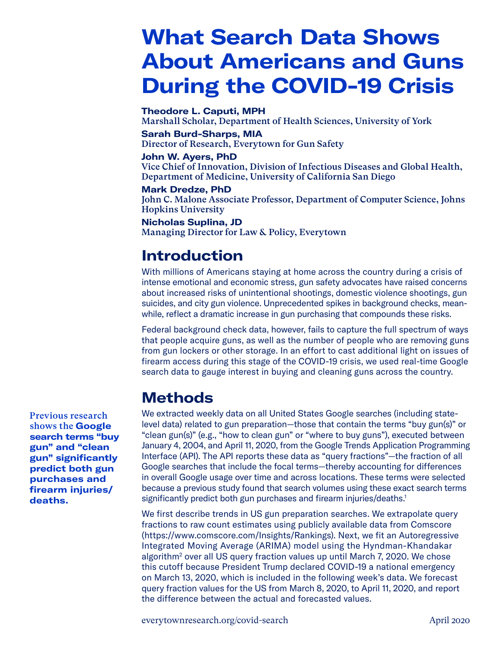# **What Search Data Shows About Americans and Guns During the COVID-19 Crisis**

**Theodore L. Caputi, MPH** Marshall Scholar, Department of Health Sciences, University of York

**Sarah Burd-Sharps, MIA** Director of Research, Everytown for Gun Safety

**John W. Ayers, PhD**

Vice Chief of Innovation, Division of Infectious Diseases and Global Health, Department of Medicine, University of California San Diego

**Mark Dredze, PhD** John C. Malone Associate Professor, Department of Computer Science, Johns Hopkins University

**Nicholas Suplina, JD** Managing Director for Law & Policy, Everytown

# **Introduction**

With millions of Americans staying at home across the country during a crisis of intense emotional and economic stress, gun safety advocates have raised concerns about increased risks of unintentional shootings, domestic violence shootings, gun suicides, and city gun violence. Unprecedented spikes in background checks, meanwhile, reflect a dramatic increase in gun purchasing that compounds these risks.

Federal background check data, however, fails to capture the full spectrum of ways that people acquire guns, as well as the number of people who are removing guns from gun lockers or other storage. In an effort to cast additional light on issues of firearm access during this stage of the COVID-19 crisis, we used real-time Google search data to gauge interest in buying and cleaning guns across the country.

## **Methods**

We extracted weekly data on all United States Google searches (including statelevel data) related to gun preparation—those that contain the terms "buy gun(s)" or "clean gun(s)" (e.g., "how to clean gun" or "where to buy guns"), executed between January 4, 2004, and April 11, 2020, from the Google Trends Application Programming Interface (API). The API reports these data as "query fractions"—the fraction of all Google searches that include the focal terms—thereby accounting for differences in overall Google usage over time and across locations. These terms were selected because a previous study found that search volumes using these exact search terms significantly predict both gun purchases and firearm injuries/deaths.<sup>1</sup>

We first describe trends in US gun preparation searches. We extrapolate query fractions to raw count estimates using publicly available data from Comscore (https://www.comscore.com/Insights/Rankings). Next, we fit an Autoregressive Integrated Moving Average (ARIMA) model using the Hyndman-Khandakar algorithm2 over all US query fraction values up until March 7, 2020. We chose this cutoff because President Trump declared COVID-19 a national emergency on March 13, 2020, which is included in the following week's data. We forecast query fraction values for the US from March 8, 2020, to April 11, 2020, and report the difference between the actual and forecasted values.

Previous research shows the **Google search terms "buy gun" and "clean gun" significantly predict both gun purchases and firearm injuries/ deaths.**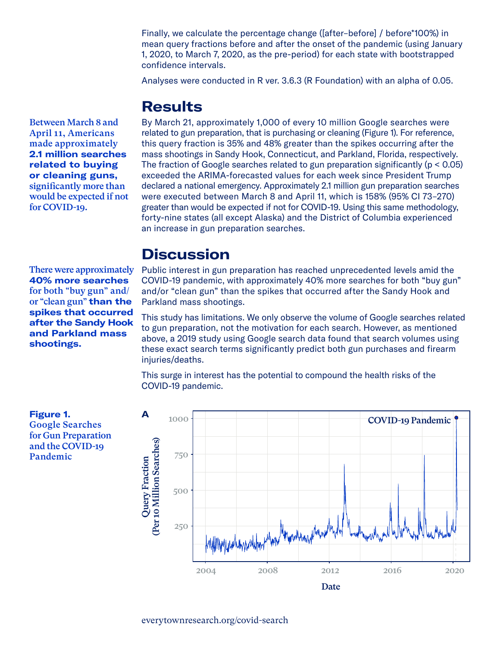Finally, we calculate the percentage change ([after–before] / before\*100%) in mean query fractions before and after the onset of the pandemic (using January 1, 2020, to March 7, 2020, as the pre-period) for each state with bootstrapped confidence intervals.

Analyses were conducted in R ver. 3.6.3 (R Foundation) with an alpha of 0.05.

#### **Results**

Between March 8 and April 11, Americans made approximately **2.1 million searches related to buying or cleaning guns,** significantly more than would be expected if not for COVID-19.

There were approximately **40% more searches** for both "buy gun" and/ or "clean gun" **than the spikes that occurred after the Sandy Hook and Parkland mass** 

By March 21, approximately 1,000 of every 10 million Google searches were related to gun preparation, that is purchasing or cleaning (Figure 1). For reference, this query fraction is 35% and 48% greater than the spikes occurring after the mass shootings in Sandy Hook, Connecticut, and Parkland, Florida, respectively. The fraction of Google searches related to gun preparation significantly (p < 0.05) exceeded the ARIMA-forecasted values for each week since President Trump declared a national emergency. Approximately 2.1 million gun preparation searches were executed between March 8 and April 11, which is 158% (95% CI 73–270) greater than would be expected if not for COVID-19. Using this same methodology, forty-nine states (all except Alaska) and the District of Columbia experienced an increase in gun preparation searches.

### **Discussion**

Public interest in gun preparation has reached unprecedented levels amid the COVID-19 pandemic, with approximately 40% more searches for both "buy gun" and/or "clean gun" than the spikes that occurred after the Sandy Hook and Parkland mass shootings.

This study has limitations. We only observe the volume of Google searches related to gun preparation, not the motivation for each search. However, as mentioned above, a 2019 study using Google search data found that search volumes using these exact search terms significantly predict both gun purchases and firearm injuries/deaths.

This surge in interest has the potential to compound the health risks of the COVID-19 pandemic.



**Figure 1.**  Google Searches for Gun Preparation and the COVID-19 Pandemic

**shootings.**